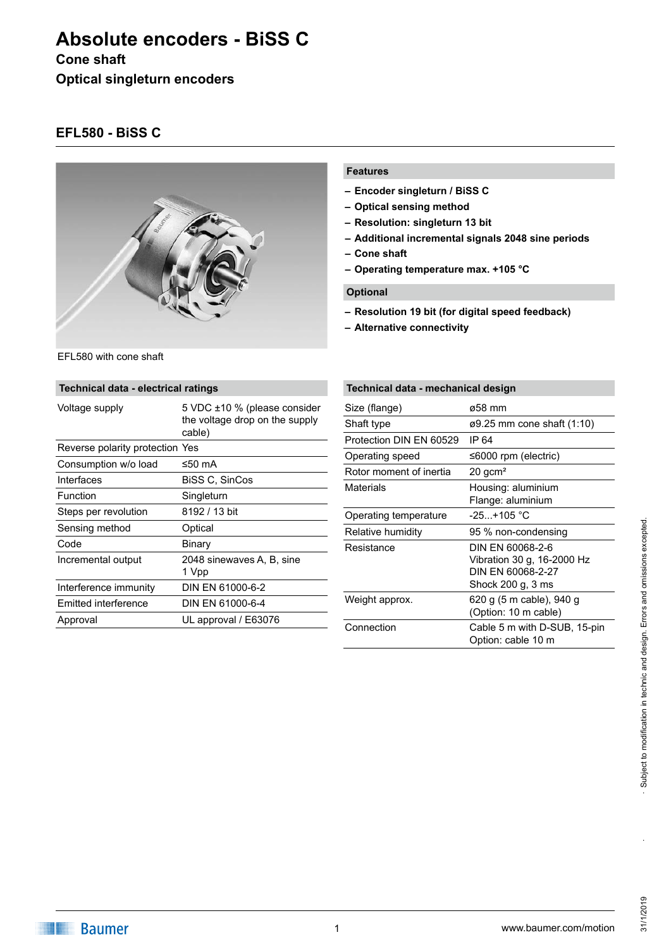# **Absolute encoders - BiSS C**

#### **Cone shaft**

**Optical singleturn encoders**

### **EFL580 - BiSS C**



EFL580 with cone shaft

## **Features**

- **– Encoder singleturn / BiSS C**
- **– Optical sensing method**
- **– Resolution: singleturn 13 bit**
- **– Additional incremental signals 2048 sine periods**
- **– Cone shaft**
- **– Operating temperature max. +105 °C**

#### **Optional**

- **– Resolution 19 bit (for digital speed feedback)**
- **– Alternative connectivity**

| Technical data - electrical ratings |                                                                          |  |  |  |
|-------------------------------------|--------------------------------------------------------------------------|--|--|--|
| Voltage supply                      | 5 VDC ±10 % (please consider<br>the voltage drop on the supply<br>cable) |  |  |  |
| Reverse polarity protection Yes     |                                                                          |  |  |  |
| Consumption w/o load                | ≤50 mA                                                                   |  |  |  |
| Interfaces                          | BiSS C, SinCos                                                           |  |  |  |
| Function                            | Singleturn                                                               |  |  |  |
| Steps per revolution                | 8192 / 13 bit                                                            |  |  |  |
| Sensing method                      | Optical                                                                  |  |  |  |
| Code                                | Binary                                                                   |  |  |  |
| Incremental output                  | 2048 sinewaves A, B, sine<br>1 Vpp                                       |  |  |  |
| Interference immunity               | DIN EN 61000-6-2                                                         |  |  |  |
| Emitted interference                | DIN EN 61000-6-4                                                         |  |  |  |
| Approval                            | UL approval / E63076                                                     |  |  |  |

## **Technical data - mechanical design**

| Size (flange)           | ø58 mm                                                                                   |
|-------------------------|------------------------------------------------------------------------------------------|
| Shaft type              | $\varnothing$ 9.25 mm cone shaft (1:10)                                                  |
| Protection DIN EN 60529 | IP 64                                                                                    |
| Operating speed         | ≤6000 rpm (electric)                                                                     |
| Rotor moment of inertia | $20$ gcm <sup>2</sup>                                                                    |
| Materials               | Housing: aluminium<br>Flange: aluminium                                                  |
| Operating temperature   | -25…+105 °C                                                                              |
| Relative humidity       | 95 % non-condensing                                                                      |
| Resistance              | DIN EN 60068-2-6<br>Vibration 30 g, 16-2000 Hz<br>DIN FN 60068-2-27<br>Shock 200 g, 3 ms |
| Weight approx.          | 620 g (5 m cable), 940 g<br>(Option: 10 m cable)                                         |
| Connection              | Cable 5 m with D-SUB, 15-pin<br>Option: cable 10 m                                       |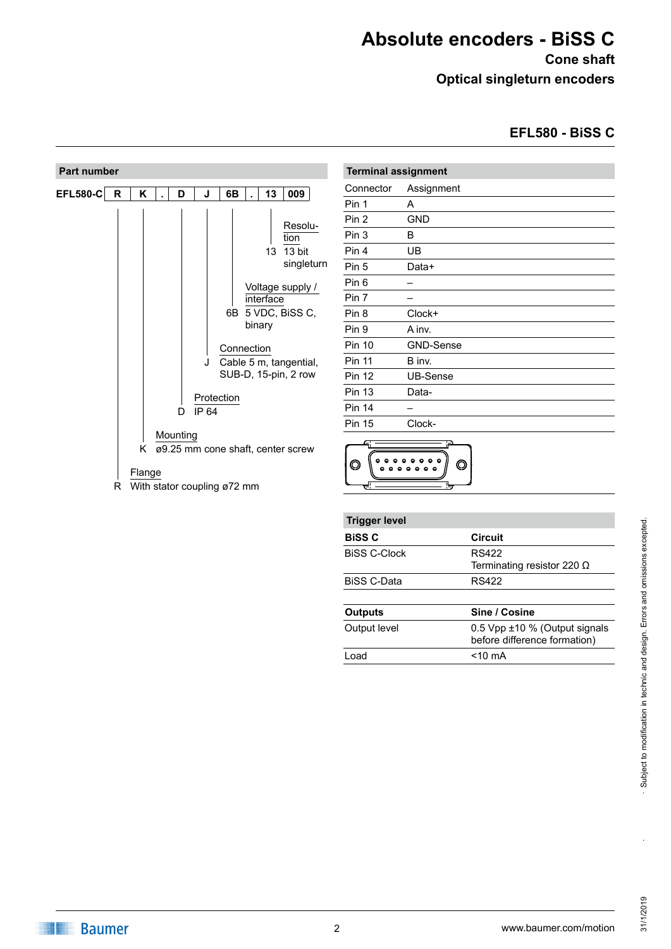# **Absolute encoders - BiSS C**

**Cone shaft Optical singleturn encoders**

**EFL580 - BiSS C**

| <b>Part number</b> |   |        |          |                             |            |                           |                                                                                                                                    |
|--------------------|---|--------|----------|-----------------------------|------------|---------------------------|------------------------------------------------------------------------------------------------------------------------------------|
| <b>EFL580-C</b>    | R | Κ      | D        | J                           | 6B         | 13                        | 009                                                                                                                                |
|                    |   |        | D        | J<br>Protection<br>IP 64    | Connection | 13<br>interface<br>binary | Resolu-<br>tion<br>13 bit<br>singleturn<br>Voltage supply /<br>6B 5 VDC, BiSS C,<br>Cable 5 m, tangential,<br>SUB-D, 15-pin, 2 row |
|                    |   | Κ      | Mounting |                             |            |                           | ø9.25 mm cone shaft, center screw                                                                                                  |
|                    | R | Flange |          | With stator coupling ø72 mm |            |                           |                                                                                                                                    |

| <b>Terminal assignment</b> |                  |  |  |  |
|----------------------------|------------------|--|--|--|
| Connector                  | Assignment       |  |  |  |
| Pin 1                      | A                |  |  |  |
| Pin 2                      | GND              |  |  |  |
| Pin 3                      | B                |  |  |  |
| Pin 4                      | UB               |  |  |  |
| Pin 5                      | Data+            |  |  |  |
| Pin 6                      |                  |  |  |  |
| Pin 7                      |                  |  |  |  |
| Pin 8                      | Clock+           |  |  |  |
| Pin 9                      | A inv.           |  |  |  |
| <b>Pin 10</b>              | <b>GND-Sense</b> |  |  |  |
| <b>Pin 11</b>              | B inv.           |  |  |  |
| <b>Pin 12</b>              | <b>UB-Sense</b>  |  |  |  |
| <b>Pin 13</b>              | Data-            |  |  |  |
| <b>Pin 14</b>              |                  |  |  |  |
| <b>Pin 15</b>              | Clock-           |  |  |  |
|                            |                  |  |  |  |



| <b>Trigger level</b> |                                                               |
|----------------------|---------------------------------------------------------------|
| <b>BiSS C</b>        | <b>Circuit</b>                                                |
| <b>BISS C-Clock</b>  | <b>RS422</b><br>Terminating resistor 220 $\Omega$             |
| <b>BiSS C-Data</b>   | <b>RS422</b>                                                  |
| <b>Outputs</b>       | Sine / Cosine                                                 |
| Output level         | 0.5 Vpp ±10 % (Output signals<br>before difference formation) |
| Load                 | $<$ 10 mA                                                     |